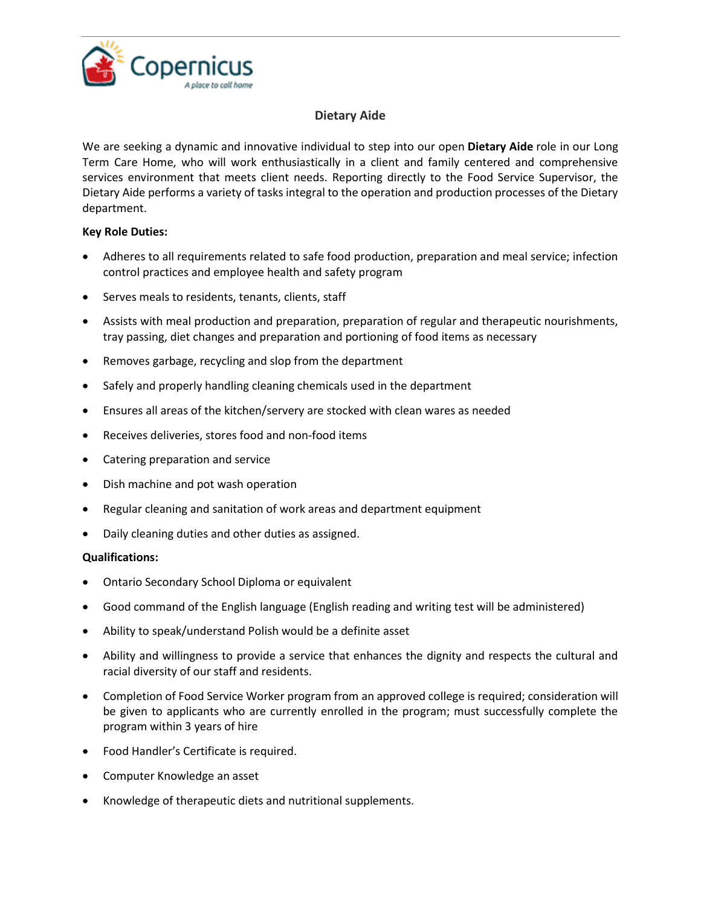

## **Dietary Aide**

We are seeking a dynamic and innovative individual to step into our open **Dietary Aide** role in our Long Term Care Home, who will work enthusiastically in a client and family centered and comprehensive services environment that meets client needs. Reporting directly to the Food Service Supervisor, the Dietary Aide performs a variety of tasks integral to the operation and production processes of the Dietary department.

## **Key Role Duties:**

- Adheres to all requirements related to safe food production, preparation and meal service; infection control practices and employee health and safety program
- Serves meals to residents, tenants, clients, staff
- Assists with meal production and preparation, preparation of regular and therapeutic nourishments, tray passing, diet changes and preparation and portioning of food items as necessary
- Removes garbage, recycling and slop from the department
- Safely and properly handling cleaning chemicals used in the department
- Ensures all areas of the kitchen/servery are stocked with clean wares as needed
- Receives deliveries, stores food and non-food items
- Catering preparation and service
- Dish machine and pot wash operation
- Regular cleaning and sanitation of work areas and department equipment
- Daily cleaning duties and other duties as assigned.

## **Qualifications:**

- Ontario Secondary School Diploma or equivalent
- Good command of the English language (English reading and writing test will be administered)
- Ability to speak/understand Polish would be a definite asset
- Ability and willingness to provide a service that enhances the dignity and respects the cultural and racial diversity of our staff and residents.
- Completion of Food Service Worker program from an approved college is required; consideration will be given to applicants who are currently enrolled in the program; must successfully complete the program within 3 years of hire
- Food Handler's Certificate is required.
- Computer Knowledge an asset
- Knowledge of therapeutic diets and nutritional supplements.